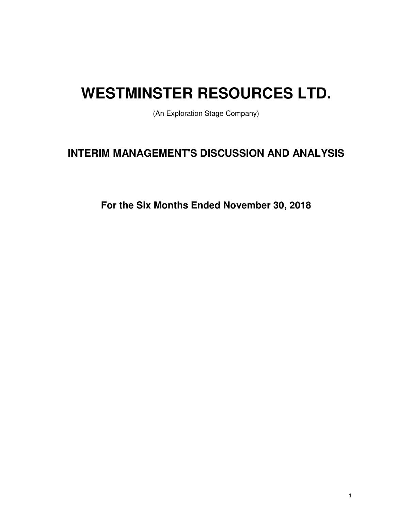# **WESTMINSTER RESOURCES LTD.**

(An Exploration Stage Company)

# **INTERIM MANAGEMENT'S DISCUSSION AND ANALYSIS**

**For the Six Months Ended November 30, 2018**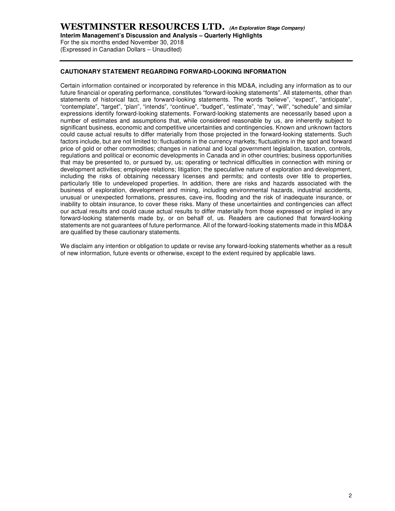# **WESTMINSTER RESOURCES LTD. (An Exploration Stage Company) Interim Management's Discussion and Analysis – Quarterly Highlights**

For the six months ended November 30, 2018 (Expressed in Canadian Dollars – Unaudited)

#### **CAUTIONARY STATEMENT REGARDING FORWARD-LOOKING INFORMATION**

Certain information contained or incorporated by reference in this MD&A, including any information as to our future financial or operating performance, constitutes "forward-looking statements". All statements, other than statements of historical fact, are forward-looking statements. The words "believe", "expect", "anticipate", "contemplate", "target", "plan", "intends", "continue", "budget", "estimate", "may", "will", "schedule" and similar expressions identify forward-looking statements. Forward-looking statements are necessarily based upon a number of estimates and assumptions that, while considered reasonable by us, are inherently subject to significant business, economic and competitive uncertainties and contingencies. Known and unknown factors could cause actual results to differ materially from those projected in the forward-looking statements. Such factors include, but are not limited to: fluctuations in the currency markets; fluctuations in the spot and forward price of gold or other commodities; changes in national and local government legislation, taxation, controls, regulations and political or economic developments in Canada and in other countries; business opportunities that may be presented to, or pursued by, us; operating or technical difficulties in connection with mining or development activities; employee relations; litigation; the speculative nature of exploration and development, including the risks of obtaining necessary licenses and permits; and contests over title to properties, particularly title to undeveloped properties. In addition, there are risks and hazards associated with the business of exploration, development and mining, including environmental hazards, industrial accidents, unusual or unexpected formations, pressures, cave-ins, flooding and the risk of inadequate insurance, or inability to obtain insurance, to cover these risks. Many of these uncertainties and contingencies can affect our actual results and could cause actual results to differ materially from those expressed or implied in any forward-looking statements made by, or on behalf of, us. Readers are cautioned that forward-looking statements are not guarantees of future performance. All of the forward-looking statements made in this MD&A are qualified by these cautionary statements.

We disclaim any intention or obligation to update or revise any forward-looking statements whether as a result of new information, future events or otherwise, except to the extent required by applicable laws.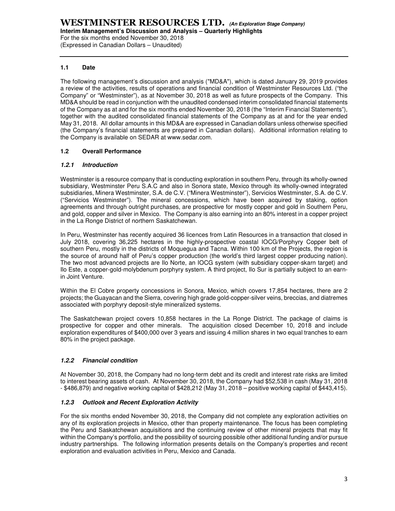For the six months ended November 30, 2018 (Expressed in Canadian Dollars – Unaudited)

# **1.1 Date**

The following management's discussion and analysis ("MD&A"), which is dated January 29, 2019 provides a review of the activities, results of operations and financial condition of Westminster Resources Ltd. ("the Company" or "Westminster"), as at November 30, 2018 as well as future prospects of the Company. This MD&A should be read in conjunction with the unaudited condensed interim consolidated financial statements of the Company as at and for the six months ended November 30, 2018 (the "Interim Financial Statements"), together with the audited consolidated financial statements of the Company as at and for the year ended May 31, 2018. All dollar amounts in this MD&A are expressed in Canadian dollars unless otherwise specified (the Company's financial statements are prepared in Canadian dollars). Additional information relating to the Company is available on SEDAR at www.sedar.com.

# **1.2 Overall Performance**

# **1.2.1 Introduction**

Westminster is a resource company that is conducting exploration in southern Peru, through its wholly-owned subsidiary, Westminster Peru S.A.C and also in Sonora state, Mexico through its wholly-owned integrated subsidiaries, Minera Westminster, S.A. de C.V. ("Minera Westminster"), Servicios Westminster, S.A. de C.V. ("Servicios Westminster"). The mineral concessions, which have been acquired by staking, option agreements and through outright purchases, are prospective for mostly copper and gold in Southern Peru, and gold, copper and silver in Mexico. The Company is also earning into an 80% interest in a copper project in the La Ronge District of northern Saskatchewan.

In Peru, Westminster has recently acquired 36 licences from Latin Resources in a transaction that closed in July 2018, covering 36,225 hectares in the highly-prospective coastal IOCG/Porphyry Copper belt of southern Peru, mostly in the districts of Moquegua and Tacna. Within 100 km of the Projects, the region is the source of around half of Peru's copper production (the world's third largest copper producing nation). The two most advanced projects are Ilo Norte, an IOCG system (with subsidiary copper-skarn target) and Ilo Este, a copper-gold-molybdenum porphyry system. A third project, Ilo Sur is partially subject to an earnin Joint Venture.

Within the El Cobre property concessions in Sonora, Mexico, which covers 17,854 hectares, there are 2 projects; the Guayacan and the Sierra, covering high grade gold-copper-silver veins, breccias, and diatremes associated with porphyry deposit-style mineralized systems.

The Saskatchewan project covers 10,858 hectares in the La Ronge District. The package of claims is prospective for copper and other minerals. The acquisition closed December 10, 2018 and include exploration expenditures of \$400,000 over 3 years and issuing 4 million shares in two equal tranches to earn 80% in the project package.

# **1.2.2 Financial condition**

At November 30, 2018, the Company had no long-term debt and its credit and interest rate risks are limited to interest bearing assets of cash. At November 30, 2018, the Company had \$52,538 in cash (May 31, 2018 - \$486,879) and negative working capital of \$428,212 (May 31, 2018 – positive working capital of \$443,415).

# **1.2.3 Outlook and Recent Exploration Activity**

For the six months ended November 30, 2018, the Company did not complete any exploration activities on any of its exploration projects in Mexico, other than property maintenance. The focus has been completing the Peru and Saskatchewan acquisitions and the continuing review of other mineral projects that may fit within the Company's portfolio, and the possibility of sourcing possible other additional funding and/or pursue industry partnerships. The following information presents details on the Company's properties and recent exploration and evaluation activities in Peru, Mexico and Canada.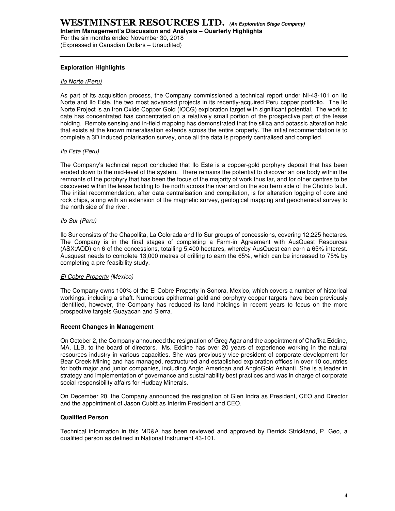**Interim Management's Discussion and Analysis – Quarterly Highlights** 

For the six months ended November 30, 2018 (Expressed in Canadian Dollars – Unaudited)

#### **Exploration Highlights**

#### Ilo Norte (Peru)

As part of its acquisition process, the Company commissioned a technical report under NI-43-101 on Ilo Norte and Ilo Este, the two most advanced projects in its recently-acquired Peru copper portfolio. The Ilo Norte Project is an Iron Oxide Copper Gold (IOCG) exploration target with significant potential. The work to date has concentrated has concentrated on a relatively small portion of the prospective part of the lease holding. Remote sensing and in-field mapping has demonstrated that the silica and potassic alteration halo that exists at the known mineralisation extends across the entire property. The initial recommendation is to complete a 3D induced polarisation survey, once all the data is properly centralised and complied.

#### Ilo Este (Peru)

The Company's technical report concluded that Ilo Este is a copper-gold porphyry deposit that has been eroded down to the mid-level of the system. There remains the potential to discover an ore body within the remnants of the porphyry that has been the focus of the majority of work thus far, and for other centres to be discovered within the lease holding to the north across the river and on the southern side of the Chololo fault. The initial recommendation, after data centralisation and compilation, is for alteration logging of core and rock chips, along with an extension of the magnetic survey, geological mapping and geochemical survey to the north side of the river.

#### Ilo Sur (Peru)

Ilo Sur consists of the Chapollita, La Colorada and Ilo Sur groups of concessions, covering 12,225 hectares. The Company is in the final stages of completing a Farm-in Agreement with AusQuest Resources (ASX:AQD) on 6 of the concessions, totalling 5,400 hectares, whereby AusQuest can earn a 65% interest. Ausquest needs to complete 13,000 metres of drilling to earn the 65%, which can be increased to 75% by completing a pre-feasibility study.

#### El Cobre Property (Mexico)

The Company owns 100% of the El Cobre Property in Sonora, Mexico, which covers a number of historical workings, including a shaft. Numerous epithermal gold and porphyry copper targets have been previously identified, however, the Company has reduced its land holdings in recent years to focus on the more prospective targets Guayacan and Sierra.

#### **Recent Changes in Management**

On October 2, the Company announced the resignation of Greg Agar and the appointment of Chafika Eddine, MA, LLB, to the board of directors. Ms. Eddine has over 20 years of experience working in the natural resources industry in various capacities. She was previously vice-president of corporate development for Bear Creek Mining and has managed, restructured and established exploration offices in over 10 countries for both major and junior companies, including Anglo American and AngloGold Ashanti. She is a leader in strategy and implementation of governance and sustainability best practices and was in charge of corporate social responsibility affairs for Hudbay Minerals.

On December 20, the Company announced the resignation of Glen Indra as President, CEO and Director and the appointment of Jason Cubitt as Interim President and CEO.

#### **Qualified Person**

Technical information in this MD&A has been reviewed and approved by Derrick Strickland, P. Geo, a qualified person as defined in National Instrument 43-101.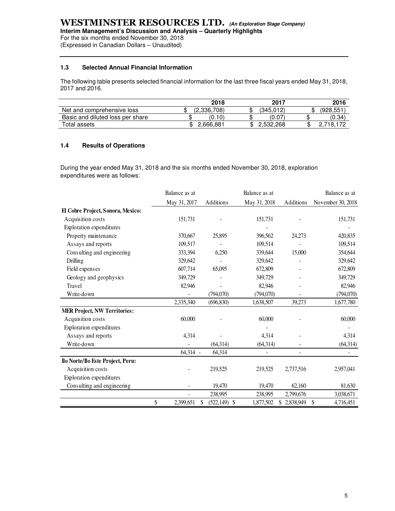(Expressed in Canadian Dollars – Unaudited)

# **1.3 Selected Annual Financial Information**

The following table presents selected financial information for the last three fiscal years ended May 31, 2018, 2017 and 2016.

|                                  | 2018        | 2017      | 2016         |
|----------------------------------|-------------|-----------|--------------|
| Net and comprehensive loss       | (2,336,708) | (345.012) | 928.551      |
| Basic and diluted loss per share | (0.10)      | (0.07)    | (0.34)<br>ιD |
| $\tau$ otal assets               | 2,666,881   | 2.532.268 | 718.172      |

# **1.4 Results of Operations**

During the year ended May 31, 2018 and the six months ended November 30, 2018, exploration expenditures were as follows:

|                                     | Balance as at   |                      | Balance as at |                 | Balance as at     |
|-------------------------------------|-----------------|----------------------|---------------|-----------------|-------------------|
|                                     | May 31, 2017    | Additions            | May 31, 2018  | Additions       | November 30, 2018 |
| El Cobre Project, Sonora, Mexico:   |                 |                      |               |                 |                   |
| Acquisition costs                   | 151,731         |                      | 151,731       |                 | 151,731           |
| Exploration expenditures            |                 |                      |               |                 |                   |
| Property maintenance                | 370,667         | 25,895               | 396,562       | 24,273          | 420,835           |
| Assays and reports                  | 109,517         |                      | 109,514       |                 | 109,514           |
| Consulting and engineering          | 333,394         | 6,250                | 339,644       | 15,000          | 354,644           |
| Drilling                            | 329,642         |                      | 329,642       |                 | 329,642           |
| Field expenses                      | 607,714         | 65,095               | 672,809       |                 | 672,809           |
| Geology and geophysics              | 349,729         |                      | 349,729       |                 | 349,729           |
| Travel                              | 82,946          |                      | 82,946        |                 | 82,946            |
| Write-down                          |                 | (794,070)            | (794,070)     |                 | (794,070)         |
|                                     | 2,335,340       | (696, 830)           | 1,638,507     | 39,273          | 1,677,780         |
| <b>MER Project, NW Territories:</b> |                 |                      |               |                 |                   |
| Acquisition costs                   | 60,000          |                      | 60,000        |                 | 60,000            |
| Exploration expenditures            |                 |                      |               |                 |                   |
| Assays and reports                  | 4,314           |                      | 4,314         |                 | 4,314             |
| Write-down                          |                 | (64,314)             | (64, 314)     |                 | (64, 314)         |
|                                     | 64,314 -        | 64,314               |               |                 |                   |
| Ilo Norte/Ilo Este Project, Peru:   |                 |                      |               |                 |                   |
| Acquisition costs                   |                 | 219,525              | 219,525       | 2,737,516       | 2,957,041         |
| Exploration expenditures            |                 |                      |               |                 |                   |
| Consulting and engineering          |                 | 19,470               | 19,470        | 62,160          | 81,630            |
|                                     |                 | 238,995              | 238,995       | 2,799,676       | 3,038,671         |
|                                     | \$<br>2,399,651 | $(522,149)$ \$<br>\$ | 1,877,502     | 2,838,949<br>\$ | \$<br>4,716,451   |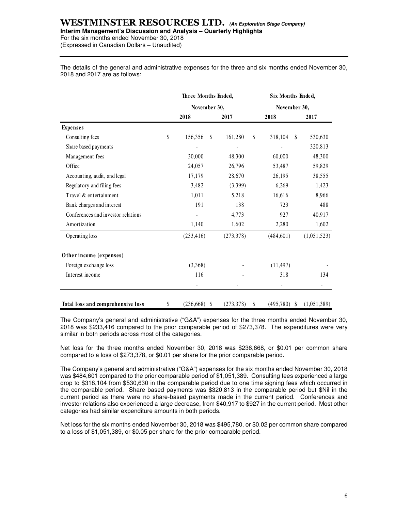# **WESTMINSTER RESOURCES LTD. (An Exploration Stage Company)**

**Interim Management's Discussion and Analysis – Quarterly Highlights** 

For the six months ended November 30, 2018 (Expressed in Canadian Dollars – Unaudited)

The details of the general and administrative expenses for the three and six months ended November 30, 2018 and 2017 are as follows:

|                                    | Three Months Ended,<br>November 30, |            |    |            |    | Six Months Ended,<br>November 30, |             |  |  |
|------------------------------------|-------------------------------------|------------|----|------------|----|-----------------------------------|-------------|--|--|
|                                    |                                     |            |    |            |    |                                   |             |  |  |
|                                    |                                     | 2018       |    | 2017       |    | 2018                              | 2017        |  |  |
| <b>Expenses</b>                    |                                     |            |    |            |    |                                   |             |  |  |
| Consulting fees                    | \$                                  | 156,356    | \$ | 161,280    | \$ | 318,104<br>\$                     | 530,630     |  |  |
| Share based payments               |                                     |            |    |            |    |                                   | 320,813     |  |  |
| Management fees                    |                                     | 30,000     |    | 48,300     |    | 60,000                            | 48,300      |  |  |
| Office                             |                                     | 24,057     |    | 26,796     |    | 53,487                            | 59,829      |  |  |
| Accounting, audit, and legal       |                                     | 17,179     |    | 28,670     |    | 26,195                            | 38,555      |  |  |
| Regulatory and filing fees         |                                     | 3,482      |    | (3,399)    |    | 6,269                             | 1,423       |  |  |
| Travel & entertainment             |                                     | 1,011      |    | 5,218      |    | 16,616                            | 8,966       |  |  |
| Bank charges and interest          |                                     | 191        |    | 138        |    | 723                               | 488         |  |  |
| Conferences and investor relations |                                     |            |    | 4,773      |    | 927                               | 40,917      |  |  |
| Amortization                       |                                     | 1,140      |    | 1,602      |    | 2,280                             | 1,602       |  |  |
| Operating loss                     |                                     | (233, 416) |    | (273, 378) |    | (484, 601)                        | (1,051,523) |  |  |
| Other income (expenses)            |                                     |            |    |            |    |                                   |             |  |  |
| Foreign exchange loss              |                                     | (3,368)    |    |            |    | (11, 497)                         |             |  |  |
| Interest income                    |                                     | 116        |    |            |    | 318                               | 134         |  |  |
|                                    |                                     |            |    |            |    | $\overline{a}$                    |             |  |  |
| Total loss and comprehensive loss  | \$                                  | (236, 668) | \$ | (273, 378) | S  | (495, 780)<br>S                   | (1,051,389) |  |  |

The Company's general and administrative ("G&A") expenses for the three months ended November 30, 2018 was \$233,416 compared to the prior comparable period of \$273,378. The expenditures were very similar in both periods across most of the categories.

Net loss for the three months ended November 30, 2018 was \$236,668, or \$0.01 per common share compared to a loss of \$273,378, or \$0.01 per share for the prior comparable period.

The Company's general and administrative ("G&A") expenses for the six months ended November 30, 2018 was \$484,601 compared to the prior comparable period of \$1,051,389. Consulting fees experienced a large drop to \$318,104 from \$530,630 in the comparable period due to one time signing fees which occurred in the comparable period. Share based payments was \$320,813 in the comparable period but \$Nil in the current period as there were no share-based payments made in the current period. Conferences and investor relations also experienced a large decrease, from \$40,917 to \$927 in the current period. Most other categories had similar expenditure amounts in both periods.

Net loss for the six months ended November 30, 2018 was \$495,780, or \$0.02 per common share compared to a loss of \$1,051,389, or \$0.05 per share for the prior comparable period.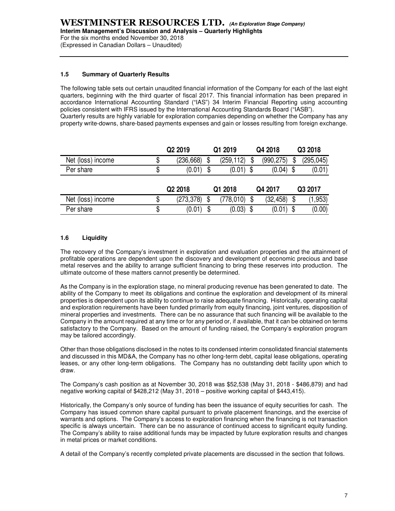(Expressed in Canadian Dollars – Unaudited)

# **1.5 Summary of Quarterly Results**

The following table sets out certain unaudited financial information of the Company for each of the last eight quarters, beginning with the third quarter of fiscal 2017. This financial information has been prepared in accordance International Accounting Standard ("IAS") 34 Interim Financial Reporting using accounting policies consistent with IFRS issued by the International Accounting Standards Board ("IASB"). Quarterly results are highly variable for exploration companies depending on whether the Company has any property write-downs, share-based payments expenses and gain or losses resulting from foreign exchange.

|                   | Q <sub>2</sub> 2019 | Q1 2019          | Q4 2018          | Q3 2018         |
|-------------------|---------------------|------------------|------------------|-----------------|
| Net (loss) income | \$<br>(236,668)     | \$<br>(259, 112) | \$<br>(990, 275) | \$<br>(295,045) |
| Per share         | (0.01)              | \$<br>(0.01)     | (0.04)           | \$<br>(0.01)    |
|                   |                     |                  |                  |                 |
|                   | Q <sub>2</sub> 2018 | Q1 2018          | Q4 2017          | Q3 2017         |
| Net (loss) income | \$<br>(273,378)     | \$<br>(778, 010) | (32, 458)        | \$<br>(1,953)   |

# **1.6 Liquidity**

The recovery of the Company's investment in exploration and evaluation properties and the attainment of profitable operations are dependent upon the discovery and development of economic precious and base metal reserves and the ability to arrange sufficient financing to bring these reserves into production. The ultimate outcome of these matters cannot presently be determined.

As the Company is in the exploration stage, no mineral producing revenue has been generated to date. The ability of the Company to meet its obligations and continue the exploration and development of its mineral properties is dependent upon its ability to continue to raise adequate financing. Historically, operating capital and exploration requirements have been funded primarily from equity financing, joint ventures, disposition of mineral properties and investments. There can be no assurance that such financing will be available to the Company in the amount required at any time or for any period or, if available, that it can be obtained on terms satisfactory to the Company. Based on the amount of funding raised, the Company's exploration program may be tailored accordingly.

Other than those obligations disclosed in the notes to its condensed interim consolidated financial statements and discussed in this MD&A, the Company has no other long-term debt, capital lease obligations, operating leases, or any other long-term obligations. The Company has no outstanding debt facility upon which to draw.

The Company's cash position as at November 30, 2018 was \$52,538 (May 31, 2018 - \$486,879) and had negative working capital of \$428,212 (May 31, 2018 – positive working capital of \$443,415).

Historically, the Company's only source of funding has been the issuance of equity securities for cash. The Company has issued common share capital pursuant to private placement financings, and the exercise of warrants and options. The Company's access to exploration financing when the financing is not transaction specific is always uncertain. There can be no assurance of continued access to significant equity funding. The Company's ability to raise additional funds may be impacted by future exploration results and changes in metal prices or market conditions.

A detail of the Company's recently completed private placements are discussed in the section that follows.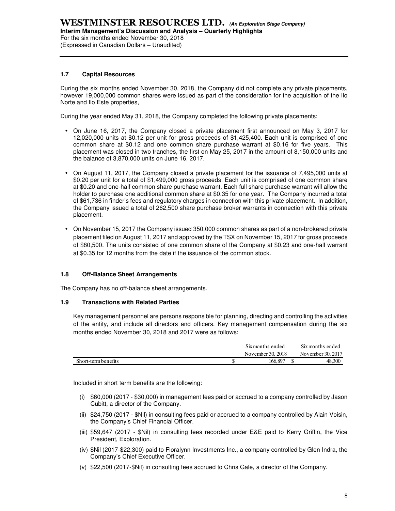(Expressed in Canadian Dollars – Unaudited)

# **1.7 Capital Resources**

During the six months ended November 30, 2018, the Company did not complete any private placements, however 19,000,000 common shares were issued as part of the consideration for the acquisition of the Ilo Norte and Ilo Este properties,

During the year ended May 31, 2018, the Company completed the following private placements:

- On June 16, 2017, the Company closed a private placement first announced on May 3, 2017 for 12,020,000 units at \$0.12 per unit for gross proceeds of \$1,425,400. Each unit is comprised of one common share at \$0.12 and one common share purchase warrant at \$0.16 for five years. This placement was closed in two tranches, the first on May 25, 2017 in the amount of 8,150,000 units and the balance of 3,870,000 units on June 16, 2017.
- On August 11, 2017, the Company closed a private placement for the issuance of 7,495,000 units at \$0.20 per unit for a total of \$1,499,000 gross proceeds. Each unit is comprised of one common share at \$0.20 and one-half common share purchase warrant. Each full share purchase warrant will allow the holder to purchase one additional common share at \$0.35 for one year. The Company incurred a total of \$61,736 in finder's fees and regulatory charges in connection with this private placement. In addition, the Company issued a total of 262,500 share purchase broker warrants in connection with this private placement.
- On November 15, 2017 the Company issued 350,000 common shares as part of a non-brokered private placement filed on August 11, 2017 and approved by the TSX on November 15, 2017 for gross proceeds of \$80,500. The units consisted of one common share of the Company at \$0.23 and one-half warrant at \$0.35 for 12 months from the date if the issuance of the common stock.

#### **1.8 Off-Balance Sheet Arrangements**

The Company has no off-balance sheet arrangements.

#### **1.9 Transactions with Related Parties**

Key management personnel are persons responsible for planning, directing and controlling the activities of the entity, and include all directors and officers. Key management compensation during the six months ended November 30, 2018 and 2017 were as follows:

|                     | Six months ended  | Six months ended  |
|---------------------|-------------------|-------------------|
|                     | November 30, 2018 | November 30, 2017 |
| Short-term benefits | 166.897           | 48.300            |

Included in short term benefits are the following:

- (i) \$60,000 (2017 \$30,000) in management fees paid or accrued to a company controlled by Jason Cubitt, a director of the Company.
- (ii) \$24,750 (2017 \$Nil) in consulting fees paid or accrued to a company controlled by Alain Voisin, the Company's Chief Financial Officer.
- (iii) \$59,647 (2017 \$Nil) in consulting fees recorded under E&E paid to Kerry Griffin, the Vice President, Exploration.
- (iv) \$Nil (2017-\$22,300) paid to Floralynn Investments Inc., a company controlled by Glen Indra, the Company's Chief Executive Officer.
- (v) \$22,500 (2017-\$Nil) in consulting fees accrued to Chris Gale, a director of the Company.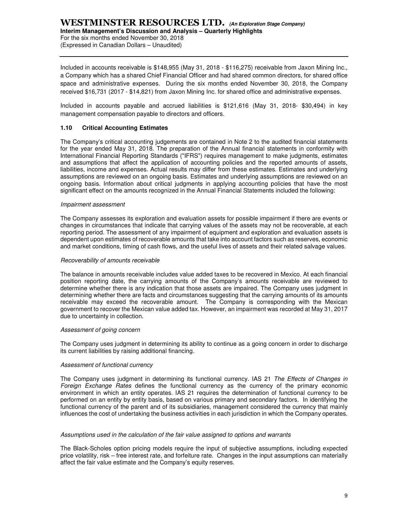Included in accounts receivable is \$148,955 (May 31, 2018 - \$116,275) receivable from Jaxon Mining Inc., a Company which has a shared Chief Financial Officer and had shared common directors, for shared office space and administrative expenses. During the six months ended November 30, 2018, the Company received \$16,731 (2017 - \$14,821) from Jaxon Mining Inc. for shared office and administrative expenses.

Included in accounts payable and accrued liabilities is \$121,616 (May 31, 2018- \$30,494) in key management compensation payable to directors and officers.

#### **1.10 Critical Accounting Estimates**

The Company's critical accounting judgements are contained in Note 2 to the audited financial statements for the year ended May 31, 2018. The preparation of the Annual financial statements in conformity with International Financial Reporting Standards ("IFRS") requires management to make judgments, estimates and assumptions that affect the application of accounting policies and the reported amounts of assets, liabilities, income and expenses. Actual results may differ from these estimates. Estimates and underlying assumptions are reviewed on an ongoing basis. Estimates and underlying assumptions are reviewed on an ongoing basis. Information about critical judgments in applying accounting policies that have the most significant effect on the amounts recognized in the Annual Financial Statements included the following:

#### Impairment assessment

The Company assesses its exploration and evaluation assets for possible impairment if there are events or changes in circumstances that indicate that carrying values of the assets may not be recoverable, at each reporting period. The assessment of any impairment of equipment and exploration and evaluation assets is dependent upon estimates of recoverable amounts that take into account factors such as reserves, economic and market conditions, timing of cash flows, and the useful lives of assets and their related salvage values.

#### Recoverability of amounts receivable

The balance in amounts receivable includes value added taxes to be recovered in Mexico. At each financial position reporting date, the carrying amounts of the Company's amounts receivable are reviewed to determine whether there is any indication that those assets are impaired. The Company uses judgment in determining whether there are facts and circumstances suggesting that the carrying amounts of its amounts receivable may exceed the recoverable amount. The Company is corresponding with the Mexican government to recover the Mexican value added tax. However, an impairment was recorded at May 31, 2017 due to uncertainty in collection.

#### Assessment of going concern

The Company uses judgment in determining its ability to continue as a going concern in order to discharge its current liabilities by raising additional financing.

#### Assessment of functional currency

The Company uses judgment in determining its functional currency. IAS 21 The Effects of Changes in Foreign Exchange Rates defines the functional currency as the currency of the primary economic environment in which an entity operates. IAS 21 requires the determination of functional currency to be performed on an entity by entity basis, based on various primary and secondary factors. In identifying the functional currency of the parent and of its subsidiaries, management considered the currency that mainly influences the cost of undertaking the business activities in each jurisdiction in which the Company operates.

#### Assumptions used in the calculation of the fair value assigned to options and warrants

The Black-Scholes option pricing models require the input of subjective assumptions, including expected price volatility, risk – free interest rate, and forfeiture rate. Changes in the input assumptions can materially affect the fair value estimate and the Company's equity reserves.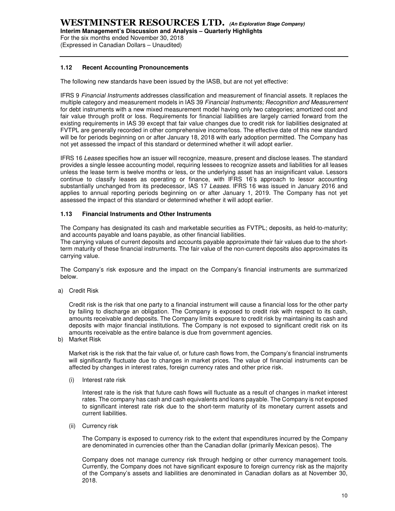For the six months ended November 30, 2018 (Expressed in Canadian Dollars – Unaudited)

# **1.12 Recent Accounting Pronouncements**

The following new standards have been issued by the IASB, but are not yet effective:

IFRS 9 Financial Instruments addresses classification and measurement of financial assets. It replaces the multiple category and measurement models in IAS 39 Financial Instruments; Recognition and Measurement for debt instruments with a new mixed measurement model having only two categories; amortized cost and fair value through profit or loss. Requirements for financial liabilities are largely carried forward from the existing requirements in IAS 39 except that fair value changes due to credit risk for liabilities designated at FVTPL are generally recorded in other comprehensive income/loss. The effective date of this new standard will be for periods beginning on or after January 18, 2018 with early adoption permitted. The Company has not yet assessed the impact of this standard or determined whether it will adopt earlier.

IFRS 16 Leases specifies how an issuer will recognize, measure, present and disclose leases. The standard provides a single lessee accounting model, requiring lessees to recognize assets and liabilities for all leases unless the lease term is twelve months or less, or the underlying asset has an insignificant value. Lessors continue to classify leases as operating or finance, with IFRS 16's approach to lessor accounting substantially unchanged from its predecessor, IAS 17 Leases. IFRS 16 was issued in January 2016 and applies to annual reporting periods beginning on or after January 1, 2019. The Company has not yet assessed the impact of this standard or determined whether it will adopt earlier.

#### **1.13 Financial Instruments and Other Instruments**

The Company has designated its cash and marketable securities as FVTPL; deposits, as held-to-maturity; and accounts payable and loans payable, as other financial liabilities.

The carrying values of current deposits and accounts payable approximate their fair values due to the shortterm maturity of these financial instruments. The fair value of the non-current deposits also approximates its carrying value.

The Company's risk exposure and the impact on the Company's financial instruments are summarized below.

a) Credit Risk

Credit risk is the risk that one party to a financial instrument will cause a financial loss for the other party by failing to discharge an obligation. The Company is exposed to credit risk with respect to its cash, amounts receivable and deposits. The Company limits exposure to credit risk by maintaining its cash and deposits with major financial institutions. The Company is not exposed to significant credit risk on its amounts receivable as the entire balance is due from government agencies.

b) Market Risk

Market risk is the risk that the fair value of, or future cash flows from, the Company's financial instruments will significantly fluctuate due to changes in market prices. The value of financial instruments can be affected by changes in interest rates, foreign currency rates and other price risk.

(i) Interest rate risk

Interest rate is the risk that future cash flows will fluctuate as a result of changes in market interest rates. The company has cash and cash equivalents and loans payable. The Company is not exposed to significant interest rate risk due to the short-term maturity of its monetary current assets and current liabilities.

(ii) Currency risk

The Company is exposed to currency risk to the extent that expenditures incurred by the Company are denominated in currencies other than the Canadian dollar (primarily Mexican pesos). The

Company does not manage currency risk through hedging or other currency management tools. Currently, the Company does not have significant exposure to foreign currency risk as the majority of the Company's assets and liabilities are denominated in Canadian dollars as at November 30, 2018.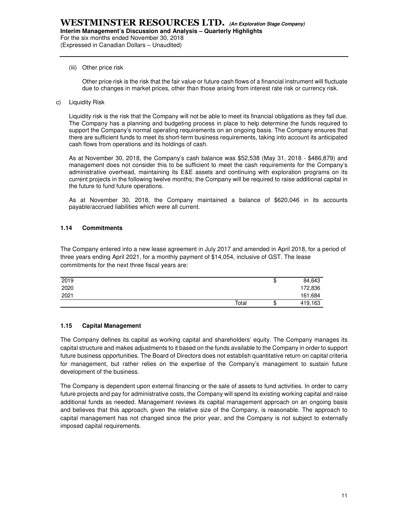#### (iii) Other price risk

Other price risk is the risk that the fair value or future cash flows of a financial instrument will fluctuate due to changes in market prices, other than those arising from interest rate risk or currency risk.

c) Liquidity Risk

Liquidity risk is the risk that the Company will not be able to meet its financial obligations as they fall due. The Company has a planning and budgeting process in place to help determine the funds required to support the Company's normal operating requirements on an ongoing basis. The Company ensures that there are sufficient funds to meet its short-term business requirements, taking into account its anticipated cash flows from operations and its holdings of cash.

As at November 30, 2018, the Company's cash balance was \$52,538 (May 31, 2018 - \$486,879) and management does not consider this to be sufficient to meet the cash requirements for the Company's administrative overhead, maintaining its E&E assets and continuing with exploration programs on its current projects in the following twelve months; the Company will be required to raise additional capital in the future to fund future operations.

As at November 30, 2018, the Company maintained a balance of \$620,046 in its accounts payable/accrued liabilities which were all current.

#### **1.14 Commitments**

The Company entered into a new lease agreement in July 2017 and amended in April 2018, for a period of three years ending April 2021, for a monthly payment of \$14,054, inclusive of GST. The lease commitments for the next three fiscal years are:

| 2019 |       | ۰D | 84,643  |
|------|-------|----|---------|
| 2020 |       |    | 172,836 |
| 2021 |       |    | 161,684 |
|      | Total | Œ  | 419,163 |

#### **1.15 Capital Management**

The Company defines its capital as working capital and shareholders' equity. The Company manages its capital structure and makes adjustments to it based on the funds available to the Company in order to support future business opportunities. The Board of Directors does not establish quantitative return on capital criteria for management, but rather relies on the expertise of the Company's management to sustain future development of the business.

The Company is dependent upon external financing or the sale of assets to fund activities. In order to carry future projects and pay for administrative costs, the Company will spend its existing working capital and raise additional funds as needed. Management reviews its capital management approach on an ongoing basis and believes that this approach, given the relative size of the Company, is reasonable. The approach to capital management has not changed since the prior year, and the Company is not subject to externally imposed capital requirements.